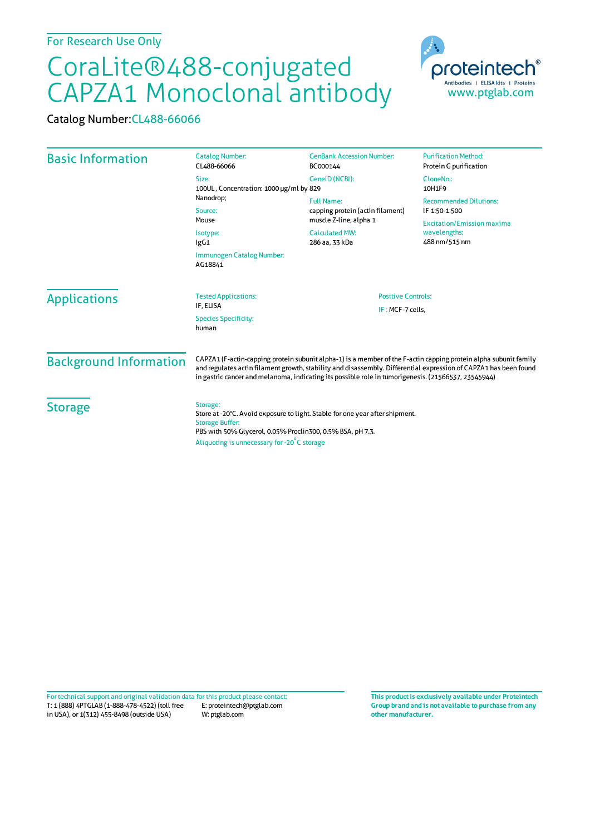## CoraLite®488-conjugated CAPZA1 Monoclonal antibody

Catalog Number:CL488-66066

| <b>Basic Information</b>      | <b>Catalog Number:</b><br>CL488-66066                                                                                                                                                                                                                                                                                                       | <b>GenBank Accession Number:</b><br>BC000144                                                                               | <b>Purification Method:</b><br>Protein G purification              |
|-------------------------------|---------------------------------------------------------------------------------------------------------------------------------------------------------------------------------------------------------------------------------------------------------------------------------------------------------------------------------------------|----------------------------------------------------------------------------------------------------------------------------|--------------------------------------------------------------------|
|                               | Size:<br>100UL, Concentration: 1000 µg/ml by 829                                                                                                                                                                                                                                                                                            | GeneID (NCBI):                                                                                                             | CloneNo.:<br>10H1F9                                                |
|                               | Nanodrop;<br>Source:<br>Mouse<br>Isotype:<br>lgG1                                                                                                                                                                                                                                                                                           | <b>Full Name:</b><br>capping protein (actin filament)<br>muscle Z-line, alpha 1<br><b>Calculated MW:</b><br>286 aa, 33 kDa | <b>Recommended Dilutions:</b><br>IF 1:50-1:500                     |
|                               |                                                                                                                                                                                                                                                                                                                                             |                                                                                                                            | <b>Excitation/Emission maxima</b><br>wavelengths:<br>488 nm/515 nm |
|                               | Immunogen Catalog Number:<br>AG18841                                                                                                                                                                                                                                                                                                        |                                                                                                                            |                                                                    |
| <b>Applications</b>           | <b>Tested Applications:</b><br>IF, ELISA                                                                                                                                                                                                                                                                                                    | <b>Positive Controls:</b><br>IF: MCF-7 cells.                                                                              |                                                                    |
|                               | <b>Species Specificity:</b><br>human                                                                                                                                                                                                                                                                                                        |                                                                                                                            |                                                                    |
| <b>Background Information</b> | CAPZA1 (F-actin-capping protein subunit alpha-1) is a member of the F-actin capping protein alpha subunit family<br>and regulates actin filament growth, stability and disassembly. Differential expression of CAPZA1 has been found<br>in gastric cancer and melanoma, indicating its possible role in tumorigenesis. (21566537, 23545944) |                                                                                                                            |                                                                    |
| <b>Storage</b>                | Storage:<br>Store at -20°C. Avoid exposure to light. Stable for one year after shipment.<br><b>Storage Buffer:</b><br>PBS with 50% Glycerol, 0.05% Proclin300, 0.5% BSA, pH 7.3.<br>Aliquoting is unnecessary for -20°C storage                                                                                                             |                                                                                                                            |                                                                    |

T: 1 (888) 4PTGLAB (1-888-478-4522) (toll free in USA), or 1(312) 455-8498 (outside USA) E: proteintech@ptglab.com W: ptglab.com Fortechnical support and original validation data forthis product please contact: **This productis exclusively available under Proteintech**

**Group brand and is not available to purchase from any other manufacturer.**